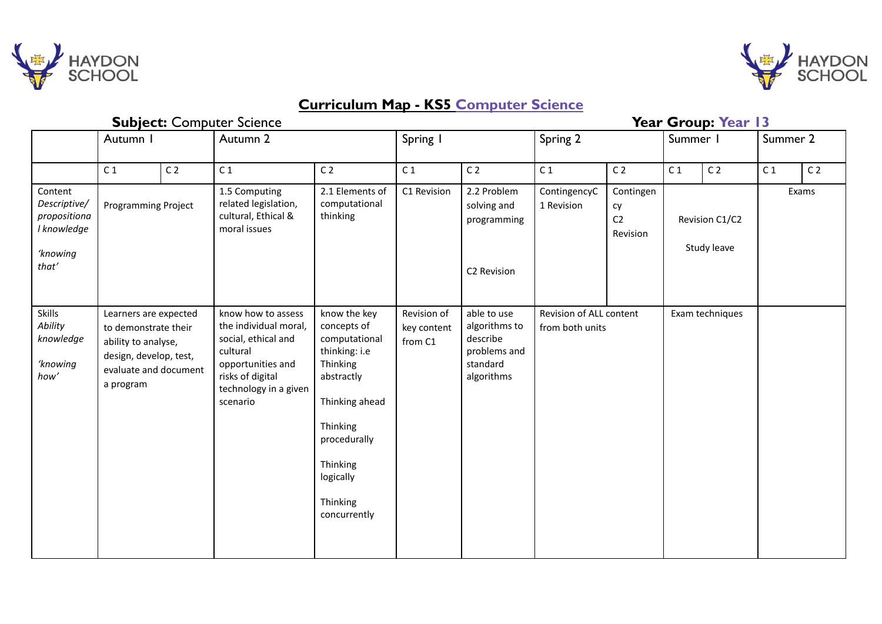



## **Curriculum Map - KS5 Computer Science**

| <b>Subject: Computer Science</b>                                   |                                                                                                                                      |                |                                                                                                                                                              |                                                                                                                                                                                            |                                       |                                                                                    | Year Group: Year 13                                           |                                               |                                        |                |                |                |
|--------------------------------------------------------------------|--------------------------------------------------------------------------------------------------------------------------------------|----------------|--------------------------------------------------------------------------------------------------------------------------------------------------------------|--------------------------------------------------------------------------------------------------------------------------------------------------------------------------------------------|---------------------------------------|------------------------------------------------------------------------------------|---------------------------------------------------------------|-----------------------------------------------|----------------------------------------|----------------|----------------|----------------|
|                                                                    | Autumn I                                                                                                                             |                | Autumn 2                                                                                                                                                     |                                                                                                                                                                                            | Spring I                              |                                                                                    | Spring 2                                                      |                                               | Summer I                               |                | Summer 2       |                |
|                                                                    | C <sub>1</sub>                                                                                                                       | C <sub>2</sub> | C <sub>1</sub>                                                                                                                                               | C <sub>2</sub>                                                                                                                                                                             | C <sub>1</sub>                        | C <sub>2</sub>                                                                     | C <sub>1</sub>                                                | C <sub>2</sub>                                | C <sub>1</sub>                         | C <sub>2</sub> | C <sub>1</sub> | C <sub>2</sub> |
| Content<br>Descriptive/<br>propositiona<br>I knowledge<br>'knowing | Programming Project                                                                                                                  |                | 1.5 Computing<br>related legislation,<br>cultural, Ethical &<br>moral issues                                                                                 | 2.1 Elements of<br>computational<br>thinking                                                                                                                                               | C1 Revision                           | 2.2 Problem<br>solving and<br>programming                                          | ContingencyC<br>1 Revision                                    | Contingen<br>cy<br>C <sub>2</sub><br>Revision | Exams<br>Revision C1/C2<br>Study leave |                |                |                |
| that'                                                              |                                                                                                                                      |                |                                                                                                                                                              |                                                                                                                                                                                            |                                       | C2 Revision                                                                        |                                                               |                                               |                                        |                |                |                |
| Skills<br>Ability<br>knowledge<br>'knowing<br>how'                 | Learners are expected<br>to demonstrate their<br>ability to analyse,<br>design, develop, test,<br>evaluate and document<br>a program |                | know how to assess<br>the individual moral,<br>social, ethical and<br>cultural<br>opportunities and<br>risks of digital<br>technology in a given<br>scenario | know the key<br>concepts of<br>computational<br>thinking: i.e<br>Thinking<br>abstractly<br>Thinking ahead<br>Thinking<br>procedurally<br>Thinking<br>logically<br>Thinking<br>concurrently | Revision of<br>key content<br>from C1 | able to use<br>algorithms to<br>describe<br>problems and<br>standard<br>algorithms | Revision of ALL content<br>Exam techniques<br>from both units |                                               |                                        |                |                |                |